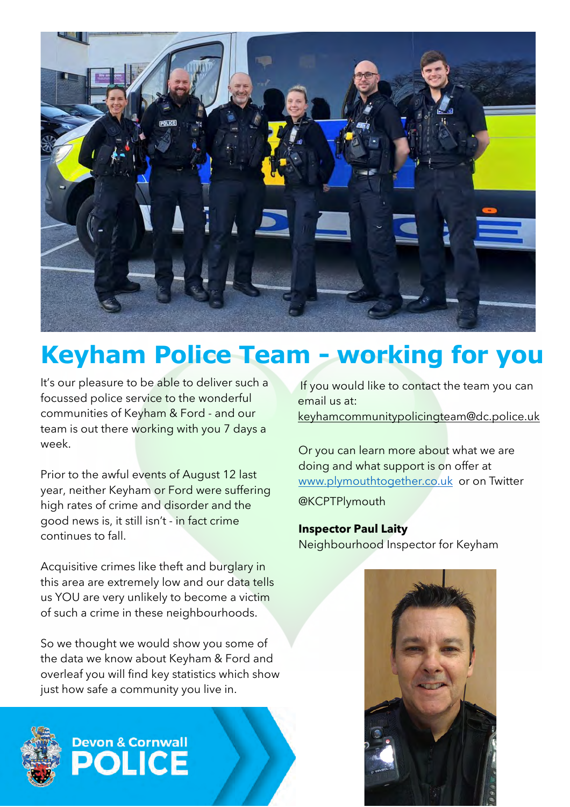

## **Keyham Police Team - working for you**

It's our pleasure to be able to deliver such a focussed police service to the wonderful communities of Keyham & Ford - and our team is out there working with you 7 days a week.

Prior to the awful events of August 12 last year, neither Keyham or Ford were suffering high rates of crime and disorder and the good news is, it still isn't - in fact crime continues to fall.

Acquisitive crimes like theft and burglary in this area are extremely low and our data tells us YOU are very unlikely to become a victim of such a crime in these neighbourhoods.

So we thought we would show you some of the data we know about Keyham & Ford and overleaf you will find key statistics which show just how safe a community you live in.



## **Devon & Cornwall ICE**

If you would like to contact the team you can email us at: keyhamcommunitypolicingteam@dc.police.uk

Or you can learn more about what we are doing and what support is on offer at [www.plymouthtogether.co.uk](https://eur02.safelinks.protection.outlook.com/?url=http%3A%2F%2Fwww.plymouthtogether.co.uk%2F&data=04%7C01%7CAndrew.KIRCHIN%40devonandcornwall.pnn.police.uk%7C52ead0efdbd14e4b630c08da0c0eabee%7C4515d0c5b4184cfa9741222da68a18d7%7C0%7C0%7C637835555621674234%7CUnknown%7CTWFpbGZsb3d8eyJWIjoiMC4wLjAwMDAiLCJQIjoiV2luMzIiLCJBTiI6Ik1haWwiLCJXVCI6Mn0%3D%7C3000&sdata=AqLxXCXjsq1xgouJF%2BmvUsrm4u%2Fb40ODF5HhqEW51bA%3D&reserved=0) or on Twitter

@KCPTPlymouth

**Inspector Paul Laity**  Neighbourhood Inspector for Keyham